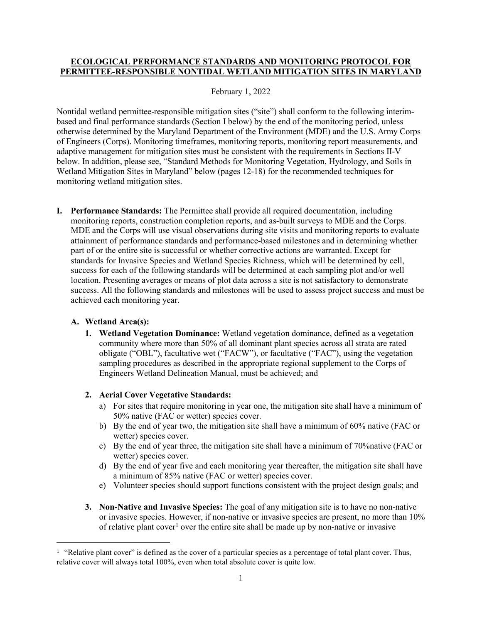# **ECOLOGICAL PERFORMANCE STANDARDS AND MONITORING PROTOCOL FOR PERMITTEE-RESPONSIBLE NONTIDAL WETLAND MITIGATION SITES IN MARYLAND**

## February 1, 2022

Nontidal wetland permittee-responsible mitigation sites ("site") shall conform to the following interimbased and final performance standards (Section I below) by the end of the monitoring period, unless otherwise determined by the Maryland Department of the Environment (MDE) and the U.S. Army Corps of Engineers (Corps). Monitoring timeframes, monitoring reports, monitoring report measurements, and adaptive management for mitigation sites must be consistent with the requirements in Sections II-V below. In addition, please see, "Standard Methods for Monitoring Vegetation, Hydrology, and Soils in Wetland Mitigation Sites in Maryland" below (pages 12-18) for the recommended techniques for monitoring wetland mitigation sites.

**I. Performance Standards:** The Permittee shall provide all required documentation, including monitoring reports, construction completion reports, and as-built surveys to MDE and the Corps. MDE and the Corps will use visual observations during site visits and monitoring reports to evaluate attainment of performance standards and performance-based milestones and in determining whether part of or the entire site is successful or whether corrective actions are warranted. Except for standards for Invasive Species and Wetland Species Richness, which will be determined by cell, success for each of the following standards will be determined at each sampling plot and/or well location. Presenting averages or means of plot data across a site is not satisfactory to demonstrate success. All the following standards and milestones will be used to assess project success and must be achieved each monitoring year.

# **A. Wetland Area(s):**

**1. Wetland Vegetation Dominance:** Wetland vegetation dominance, defined as a vegetation community where more than 50% of all dominant plant species across all strata are rated obligate ("OBL"), facultative wet ("FACW"), or facultative ("FAC"), using the vegetation sampling procedures as described in the appropriate regional supplement to the Corps of Engineers Wetland Delineation Manual, must be achieved; and

# **2. Aerial Cover Vegetative Standards:**

- a) For sites that require monitoring in year one, the mitigation site shall have a minimum of 50% native (FAC or wetter) species cover.
- b) By the end of year two, the mitigation site shall have a minimum of 60% native (FAC or wetter) species cover.
- c) By the end of year three, the mitigation site shall have a minimum of 70%native (FAC or wetter) species cover.
- d) By the end of year five and each monitoring year thereafter, the mitigation site shall have a minimum of 85% native (FAC or wetter) species cover.
- e) Volunteer species should support functions consistent with the project design goals; and
- **3. Non-Native and Invasive Species:** The goal of any mitigation site is to have no non-native or invasive species. However, if non-native or invasive species are present, no more than 10% of relative plant cover<sup>[1](#page-0-0)</sup> over the entire site shall be made up by non-native or invasive

<span id="page-0-0"></span>Ĩ. <sup>1</sup> "Relative plant cover" is defined as the cover of a particular species as a percentage of total plant cover. Thus, relative cover will always total 100%, even when total absolute cover is quite low.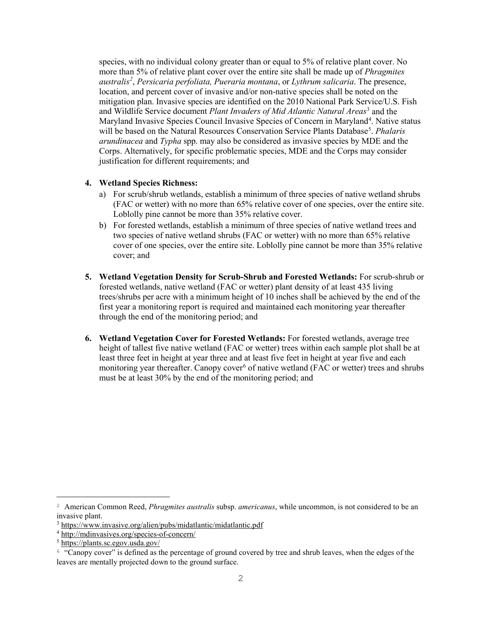species, with no individual colony greater than or equal to 5% of relative plant cover. No more than 5% of relative plant cover over the entire site shall be made up of *Phragmites australis[2](#page-1-0)* , *Persicaria perfoliata, Pueraria montana*, or *Lythrum salicaria*. The presence, location, and percent cover of invasive and/or non-native species shall be noted on the mitigation plan. Invasive species are identified on the 2010 National Park Service/U.S. Fish and Wildlife Service document *Plant Invaders of Mid Atlantic Natural Areas*[3](#page-1-1) and the Maryland Invasive Species Council Invasive Species of Concern in Maryland<sup>4</sup>. Native status will be based on the Natural Resources Conservation Service Plants Database<sup>[5](#page-1-3)</sup>. *Phalaris arundinacea* and *Typha* spp. may also be considered as invasive species by MDE and the Corps. Alternatively, for specific problematic species, MDE and the Corps may consider justification for different requirements; and

## **4. Wetland Species Richness:**

- a) For scrub/shrub wetlands, establish a minimum of three species of native wetland shrubs (FAC or wetter) with no more than 65% relative cover of one species, over the entire site. Loblolly pine cannot be more than 35% relative cover.
- b) For forested wetlands, establish a minimum of three species of native wetland trees and two species of native wetland shrubs (FAC or wetter) with no more than 65% relative cover of one species, over the entire site. Loblolly pine cannot be more than 35% relative cover; and
- **5. Wetland Vegetation Density for Scrub-Shrub and Forested Wetlands:** For scrub-shrub or forested wetlands, native wetland (FAC or wetter) plant density of at least 435 living trees/shrubs per acre with a minimum height of 10 inches shall be achieved by the end of the first year a monitoring report is required and maintained each monitoring year thereafter through the end of the monitoring period; and
- **6. Wetland Vegetation Cover for Forested Wetlands:** For forested wetlands, average tree height of tallest five native wetland (FAC or wetter) trees within each sample plot shall be at least three feet in height at year three and at least five feet in height at year five and each monitoring year thereafter. Canopy cover<sup>[6](#page-1-4)</sup> of native wetland (FAC or wetter) trees and shrubs must be at least 30% by the end of the monitoring period; and

<span id="page-1-0"></span>Ĩ. <sup>2</sup> American Common Reed, *Phragmites australis* subsp. *americanus*, while uncommon, is not considered to be an invasive plant.

<span id="page-1-1"></span><sup>3</sup> <https://www.invasive.org/alien/pubs/midatlantic/midatlantic.pdf>

<span id="page-1-2"></span><sup>4</sup> <http://mdinvasives.org/species-of-concern/>

<span id="page-1-3"></span><sup>5</sup> <https://plants.sc.egov.usda.gov/>

<span id="page-1-4"></span><sup>6</sup> "Canopy cover" is defined as the percentage of ground covered by tree and shrub leaves, when the edges of the leaves are mentally projected down to the ground surface.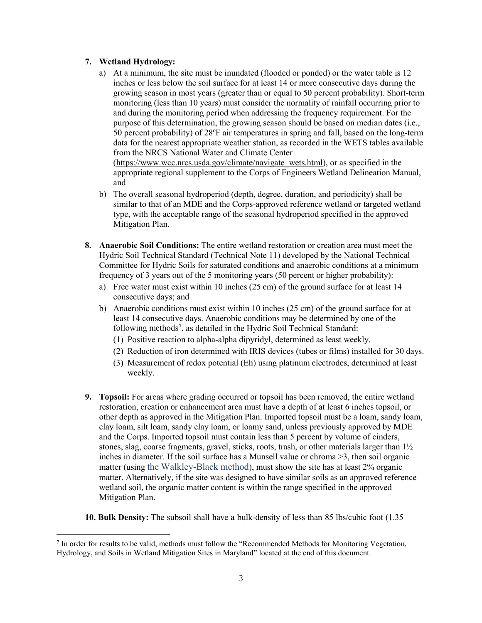# **7. Wetland Hydrology:**

- a) At a minimum, the site must be inundated (flooded or ponded) or the water table is 12 inches or less below the soil surface for at least 14 or more consecutive days during the growing season in most years (greater than or equal to 50 percent probability). Short-term monitoring (less than 10 years) must consider the normality of rainfall occurring prior to and during the monitoring period when addressing the frequency requirement. For the purpose of this determination, the growing season should be based on median dates (i.e., 50 percent probability) of 28ºF air temperatures in spring and fall, based on the long-term data for the nearest appropriate weather station, as recorded in the WETS tables available from the NRCS National Water and Climate Center [\(https://www.wcc.nrcs.usda.gov/climate/navigate\\_wets.html\)](https://www.wcc.nrcs.usda.gov/climate/navigate_wets.html), or as specified in the appropriate regional supplement to the Corps of Engineers Wetland Delineation Manual,
	-

and

- b) The overall seasonal hydroperiod (depth, degree, duration, and periodicity) shall be similar to that of an MDE and the Corps-approved reference wetland or targeted wetland type, with the acceptable range of the seasonal hydroperiod specified in the approved Mitigation Plan.
- **8. Anaerobic Soil Conditions:** The entire wetland restoration or creation area must meet the Hydric Soil Technical Standard (Technical Note 11) developed by the National Technical Committee for Hydric Soils for saturated conditions and anaerobic conditions at a minimum frequency of 3 years out of the 5 monitoring years (50 percent or higher probability):
	- a) Free water must exist within 10 inches (25 cm) of the ground surface for at least 14 consecutive days; and
	- b) Anaerobic conditions must exist within 10 inches (25 cm) of the ground surface for at least 14 consecutive days. Anaerobic conditions may be determined by one of the following methods<sup>[7](#page-2-0)</sup>, as detailed in the Hydric Soil Technical Standard:
		- (1) Positive reaction to alpha-alpha dipyridyl, determined as least weekly.
		- (2) Reduction of iron determined with IRIS devices (tubes or films) installed for 30 days.
		- (3) Measurement of redox potential (Eh) using platinum electrodes, determined at least weekly.
- **9. Topsoil:** For areas where grading occurred or topsoil has been removed, the entire wetland restoration, creation or enhancement area must have a depth of at least 6 inches topsoil, or other depth as approved in the Mitigation Plan. Imported topsoil must be a loam, sandy loam, clay loam, silt loam, sandy clay loam, or loamy sand, unless previously approved by MDE and the Corps. Imported topsoil must contain less than 5 percent by volume of cinders, stones, slag, coarse fragments, gravel, sticks, roots, trash, or other materials larger than 1½ inches in diameter. If the soil surface has a Munsell value or chroma >3, then soil organic matter (using the Walkley-Black method), must show the site has at least 2% organic matter. Alternatively, if the site was designed to have similar soils as an approved reference wetland soil, the organic matter content is within the range specified in the approved Mitigation Plan.
- **10. Bulk Density:** The subsoil shall have a bulk-density of less than 85 lbs/cubic foot (1.35

<span id="page-2-0"></span>É  $7$  In order for results to be valid, methods must follow the "Recommended Methods for Monitoring Vegetation, Hydrology, and Soils in Wetland Mitigation Sites in Maryland" located at the end of this document.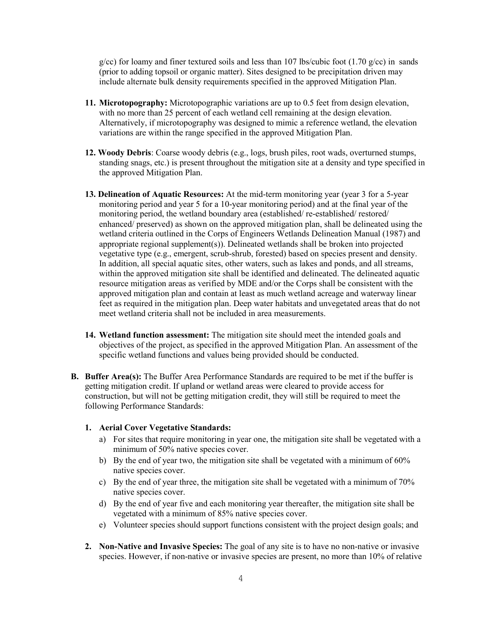$g/cc$ ) for loamy and finer textured soils and less than 107 lbs/cubic foot (1.70  $g/cc$ ) in sands (prior to adding topsoil or organic matter). Sites designed to be precipitation driven may include alternate bulk density requirements specified in the approved Mitigation Plan.

- **11. Microtopography:** Microtopographic variations are up to 0.5 feet from design elevation, with no more than 25 percent of each wetland cell remaining at the design elevation. Alternatively, if microtopography was designed to mimic a reference wetland, the elevation variations are within the range specified in the approved Mitigation Plan.
- **12. Woody Debris**: Coarse woody debris (e.g., logs, brush piles, root wads, overturned stumps, standing snags, etc.) is present throughout the mitigation site at a density and type specified in the approved Mitigation Plan.
- **13. Delineation of Aquatic Resources:** At the mid-term monitoring year (year 3 for a 5-year monitoring period and year 5 for a 10-year monitoring period) and at the final year of the monitoring period, the wetland boundary area (established/ re-established/ restored/ enhanced/ preserved) as shown on the approved mitigation plan, shall be delineated using the wetland criteria outlined in the Corps of Engineers Wetlands Delineation Manual (1987) and appropriate regional supplement(s)). Delineated wetlands shall be broken into projected vegetative type (e.g., emergent, scrub-shrub, forested) based on species present and density. In addition, all special aquatic sites, other waters, such as lakes and ponds, and all streams, within the approved mitigation site shall be identified and delineated. The delineated aquatic resource mitigation areas as verified by MDE and/or the Corps shall be consistent with the approved mitigation plan and contain at least as much wetland acreage and waterway linear feet as required in the mitigation plan. Deep water habitats and unvegetated areas that do not meet wetland criteria shall not be included in area measurements.
- **14. Wetland function assessment:** The mitigation site should meet the intended goals and objectives of the project, as specified in the approved Mitigation Plan. An assessment of the specific wetland functions and values being provided should be conducted.
- **B. Buffer Area(s):** The Buffer Area Performance Standards are required to be met if the buffer is getting mitigation credit. If upland or wetland areas were cleared to provide access for construction, but will not be getting mitigation credit, they will still be required to meet the following Performance Standards:

#### **1. Aerial Cover Vegetative Standards:**

- a) For sites that require monitoring in year one, the mitigation site shall be vegetated with a minimum of 50% native species cover.
- b) By the end of year two, the mitigation site shall be vegetated with a minimum of 60% native species cover.
- c) By the end of year three, the mitigation site shall be vegetated with a minimum of 70% native species cover.
- d) By the end of year five and each monitoring year thereafter, the mitigation site shall be vegetated with a minimum of 85% native species cover.
- e) Volunteer species should support functions consistent with the project design goals; and
- **2. Non-Native and Invasive Species:** The goal of any site is to have no non-native or invasive species. However, if non-native or invasive species are present, no more than 10% of relative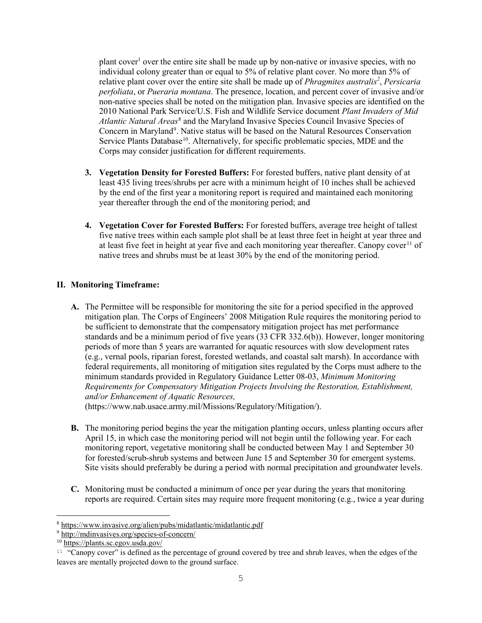plant cover<sup>1</sup> over the entire site shall be made up by non-native or invasive species, with no individual colony greater than or equal to 5% of relative plant cover. No more than 5% of relative plant cover over the entire site shall be made up of *Phragmites australis<sup>2</sup>* , *Persicaria perfoliata*, or *Pueraria montana*. The presence, location, and percent cover of invasive and/or non-native species shall be noted on the mitigation plan. Invasive species are identified on the 2010 National Park Service/U.S. Fish and Wildlife Service document *Plant Invaders of Mid Atlantic Natural Areas*[8](#page-4-0) and the Maryland Invasive Species Council Invasive Species of Concern in Maryland<sup>[9](#page-4-1)</sup>. Native status will be based on the Natural Resources Conservation Service Plants Database<sup>[10](#page-4-2)</sup>. Alternatively, for specific problematic species, MDE and the Corps may consider justification for different requirements.

- **3. Vegetation Density for Forested Buffers:** For forested buffers, native plant density of at least 435 living trees/shrubs per acre with a minimum height of 10 inches shall be achieved by the end of the first year a monitoring report is required and maintained each monitoring year thereafter through the end of the monitoring period; and
- **4. Vegetation Cover for Forested Buffers:** For forested buffers, average tree height of tallest five native trees within each sample plot shall be at least three feet in height at year three and at least five feet in height at year five and each monitoring year thereafter. Canopy cover<sup>[11](#page-4-3)</sup> of native trees and shrubs must be at least 30% by the end of the monitoring period.

# **II. Monitoring Timeframe:**

**A.** The Permittee will be responsible for monitoring the site for a period specified in the approved mitigation plan. The Corps of Engineers' 2008 Mitigation Rule requires the monitoring period to be sufficient to demonstrate that the compensatory mitigation project has met performance standards and be a minimum period of five years (33 CFR 332.6(b)). However, longer monitoring periods of more than 5 years are warranted for aquatic resources with slow development rates (e.g., vernal pools, riparian forest, forested wetlands, and coastal salt marsh). In accordance with federal requirements, all monitoring of mitigation sites regulated by the Corps must adhere to the minimum standards provided in Regulatory Guidance Letter 08-03, *Minimum Monitoring Requirements for Compensatory Mitigation Projects Involving the Restoration, Establishment, and/or Enhancement of Aquatic Resources,*

(https://www.nab.usace.army.mil/Missions/Regulatory/Mitigation/).

- **B.** The monitoring period begins the year the mitigation planting occurs, unless planting occurs after April 15, in which case the monitoring period will not begin until the following year. For each monitoring report, vegetative monitoring shall be conducted between May 1 and September 30 for forested/scrub-shrub systems and between June 15 and September 30 for emergent systems. Site visits should preferably be during a period with normal precipitation and groundwater levels.
- **C.** Monitoring must be conducted a minimum of once per year during the years that monitoring reports are required. Certain sites may require more frequent monitoring (e.g., twice a year during

<span id="page-4-0"></span>Ĩ. <sup>8</sup> <https://www.invasive.org/alien/pubs/midatlantic/midatlantic.pdf>

<span id="page-4-1"></span><sup>&</sup>lt;sup>9</sup> <http://mdinvasives.org/species-of-concern/>

<span id="page-4-2"></span><sup>10</sup> <https://plants.sc.egov.usda.gov/>

<span id="page-4-3"></span> $11$  "Canopy cover" is defined as the percentage of ground covered by tree and shrub leaves, when the edges of the leaves are mentally projected down to the ground surface.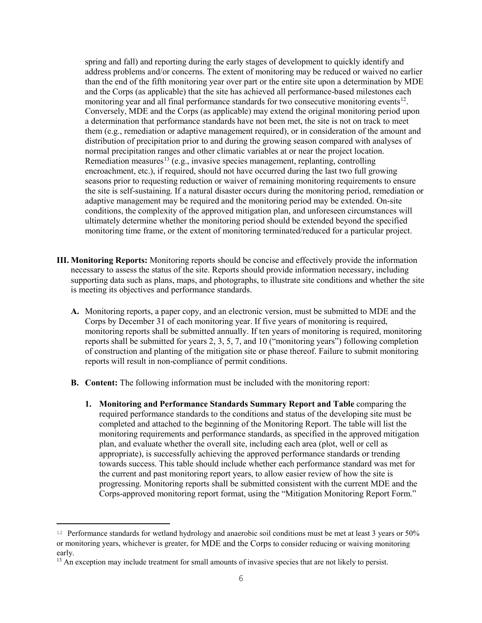spring and fall) and reporting during the early stages of development to quickly identify and address problems and/or concerns. The extent of monitoring may be reduced or waived no earlier than the end of the fifth monitoring year over part or the entire site upon a determination by MDE and the Corps (as applicable) that the site has achieved all performance-based milestones each monitoring year and all final performance standards for two consecutive monitoring events $12$ . Conversely, MDE and the Corps (as applicable) may extend the original monitoring period upon a determination that performance standards have not been met, the site is not on track to meet them (e.g., remediation or adaptive management required), or in consideration of the amount and distribution of precipitation prior to and during the growing season compared with analyses of normal precipitation ranges and other climatic variables at or near the project location. Remediation measures<sup>[13](#page-5-1)</sup> (e.g., invasive species management, replanting, controlling encroachment, etc.), if required, should not have occurred during the last two full growing seasons prior to requesting reduction or waiver of remaining monitoring requirements to ensure the site is self-sustaining. If a natural disaster occurs during the monitoring period, remediation or adaptive management may be required and the monitoring period may be extended. On-site conditions, the complexity of the approved mitigation plan, and unforeseen circumstances will ultimately determine whether the monitoring period should be extended beyond the specified monitoring time frame, or the extent of monitoring terminated/reduced for a particular project.

- **III. Monitoring Reports:** Monitoring reports should be concise and effectively provide the information necessary to assess the status of the site. Reports should provide information necessary, including supporting data such as plans, maps, and photographs, to illustrate site conditions and whether the site is meeting its objectives and performance standards.
	- **A.** Monitoring reports, a paper copy, and an electronic version, must be submitted to MDE and the Corps by December 31 of each monitoring year. If five years of monitoring is required, monitoring reports shall be submitted annually. If ten years of monitoring is required, monitoring reports shall be submitted for years 2, 3, 5, 7, and 10 ("monitoring years") following completion of construction and planting of the mitigation site or phase thereof. Failure to submit monitoring reports will result in non-compliance of permit conditions.
	- **B. Content:** The following information must be included with the monitoring report:
		- **1. Monitoring and Performance Standards Summary Report and Table** comparing the required performance standards to the conditions and status of the developing site must be completed and attached to the beginning of the Monitoring Report. The table will list the monitoring requirements and performance standards, as specified in the approved mitigation plan, and evaluate whether the overall site, including each area (plot, well or cell as appropriate), is successfully achieving the approved performance standards or trending towards success. This table should include whether each performance standard was met for the current and past monitoring report years, to allow easier review of how the site is progressing. Monitoring reports shall be submitted consistent with the current MDE and the Corps-approved monitoring report format, using the "Mitigation Monitoring Report Form."

<span id="page-5-0"></span>Ĩ. <sup>12</sup> Performance standards for wetland hydrology and anaerobic soil conditions must be met at least 3 years or 50% or monitoring years, whichever is greater, for MDE and the Corps to consider reducing or waiving monitoring early.

<span id="page-5-1"></span><sup>&</sup>lt;sup>13</sup> An exception may include treatment for small amounts of invasive species that are not likely to persist.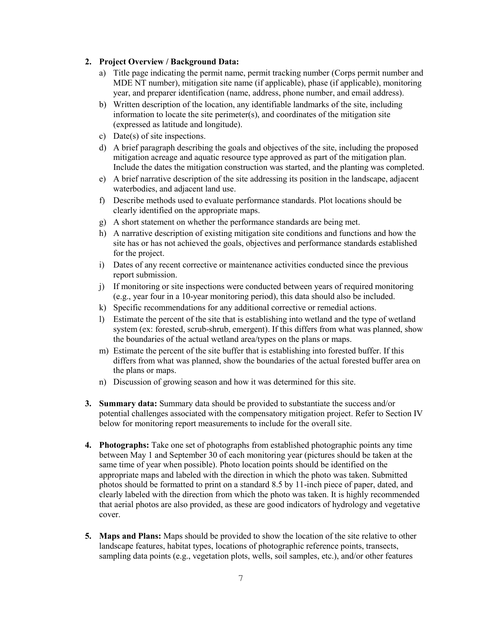# **2. Project Overview / Background Data:**

- a) Title page indicating the permit name, permit tracking number (Corps permit number and MDE NT number), mitigation site name (if applicable), phase (if applicable), monitoring year, and preparer identification (name, address, phone number, and email address).
- b) Written description of the location, any identifiable landmarks of the site, including information to locate the site perimeter(s), and coordinates of the mitigation site (expressed as latitude and longitude).
- c) Date(s) of site inspections.
- d) A brief paragraph describing the goals and objectives of the site, including the proposed mitigation acreage and aquatic resource type approved as part of the mitigation plan. Include the dates the mitigation construction was started, and the planting was completed.
- e) A brief narrative description of the site addressing its position in the landscape, adjacent waterbodies, and adjacent land use.
- f) Describe methods used to evaluate performance standards. Plot locations should be clearly identified on the appropriate maps.
- g) A short statement on whether the performance standards are being met.
- h) A narrative description of existing mitigation site conditions and functions and how the site has or has not achieved the goals, objectives and performance standards established for the project.
- i) Dates of any recent corrective or maintenance activities conducted since the previous report submission.
- j) If monitoring or site inspections were conducted between years of required monitoring (e.g., year four in a 10-year monitoring period), this data should also be included.
- k) Specific recommendations for any additional corrective or remedial actions.
- l) Estimate the percent of the site that is establishing into wetland and the type of wetland system (ex: forested, scrub-shrub, emergent). If this differs from what was planned, show the boundaries of the actual wetland area/types on the plans or maps.
- m) Estimate the percent of the site buffer that is establishing into forested buffer. If this differs from what was planned, show the boundaries of the actual forested buffer area on the plans or maps.
- n) Discussion of growing season and how it was determined for this site.
- **3. Summary data:** Summary data should be provided to substantiate the success and/or potential challenges associated with the compensatory mitigation project. Refer to Section IV below for monitoring report measurements to include for the overall site.
- **4. Photographs:** Take one set of photographs from established photographic points any time between May 1 and September 30 of each monitoring year (pictures should be taken at the same time of year when possible). Photo location points should be identified on the appropriate maps and labeled with the direction in which the photo was taken. Submitted photos should be formatted to print on a standard 8.5 by 11-inch piece of paper, dated, and clearly labeled with the direction from which the photo was taken. It is highly recommended that aerial photos are also provided, as these are good indicators of hydrology and vegetative cover.
- **5. Maps and Plans:** Maps should be provided to show the location of the site relative to other landscape features, habitat types, locations of photographic reference points, transects, sampling data points (e.g., vegetation plots, wells, soil samples, etc.), and/or other features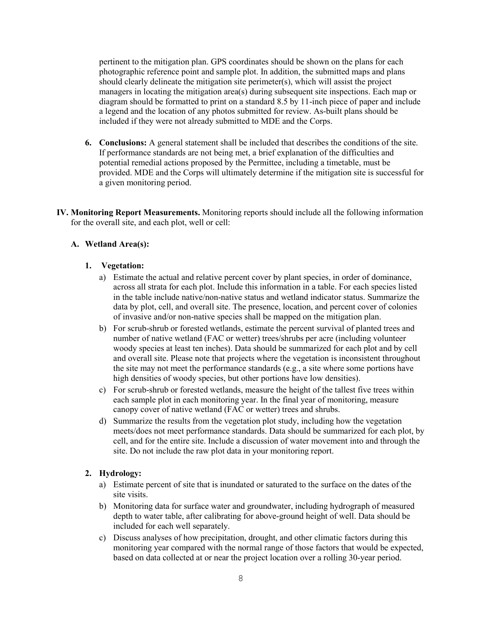pertinent to the mitigation plan. GPS coordinates should be shown on the plans for each photographic reference point and sample plot. In addition, the submitted maps and plans should clearly delineate the mitigation site perimeter(s), which will assist the project managers in locating the mitigation area(s) during subsequent site inspections. Each map or diagram should be formatted to print on a standard 8.5 by 11-inch piece of paper and include a legend and the location of any photos submitted for review. As-built plans should be included if they were not already submitted to MDE and the Corps.

- **6. Conclusions:** A general statement shall be included that describes the conditions of the site. If performance standards are not being met, a brief explanation of the difficulties and potential remedial actions proposed by the Permittee, including a timetable, must be provided. MDE and the Corps will ultimately determine if the mitigation site is successful for a given monitoring period.
- **IV. Monitoring Report Measurements.** Monitoring reports should include all the following information for the overall site, and each plot, well or cell:

# **A. Wetland Area(s):**

## **1. Vegetation:**

- a) Estimate the actual and relative percent cover by plant species, in order of dominance, across all strata for each plot. Include this information in a table. For each species listed in the table include native/non-native status and wetland indicator status. Summarize the data by plot, cell, and overall site. The presence, location, and percent cover of colonies of invasive and/or non-native species shall be mapped on the mitigation plan.
- b) For scrub-shrub or forested wetlands, estimate the percent survival of planted trees and number of native wetland (FAC or wetter) trees/shrubs per acre (including volunteer woody species at least ten inches). Data should be summarized for each plot and by cell and overall site. Please note that projects where the vegetation is inconsistent throughout the site may not meet the performance standards (e.g., a site where some portions have high densities of woody species, but other portions have low densities).
- c) For scrub-shrub or forested wetlands, measure the height of the tallest five trees within each sample plot in each monitoring year. In the final year of monitoring, measure canopy cover of native wetland (FAC or wetter) trees and shrubs.
- d) Summarize the results from the vegetation plot study, including how the vegetation meets/does not meet performance standards. Data should be summarized for each plot, by cell, and for the entire site. Include a discussion of water movement into and through the site. Do not include the raw plot data in your monitoring report.

#### **2. Hydrology:**

- a) Estimate percent of site that is inundated or saturated to the surface on the dates of the site visits.
- b) Monitoring data for surface water and groundwater, including hydrograph of measured depth to water table, after calibrating for above-ground height of well. Data should be included for each well separately.
- c) Discuss analyses of how precipitation, drought, and other climatic factors during this monitoring year compared with the normal range of those factors that would be expected, based on data collected at or near the project location over a rolling 30-year period.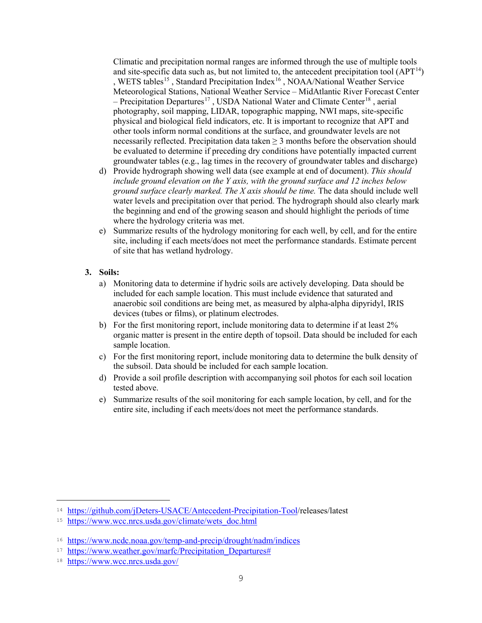Climatic and precipitation normal ranges are informed through the use of multiple tools and site-specific data such as, but not limited to, the antecedent precipitation tool  $(APT<sup>14</sup>)$ , WETS tables<sup>[15](#page-8-1)</sup>, Standard Precipitation Index<sup>[16](#page-8-2)</sup>, NOAA/National Weather Service Meteorological Stations, National Weather Service – MidAtlantic River Forecast Center  $-$  Precipitation Departures<sup>[17](#page-8-3)</sup>, USDA National Water and Climate Center<sup>[18](#page-8-4)</sup>, aerial photography, soil mapping, LIDAR, topographic mapping, NWI maps, site-specific physical and biological field indicators, etc. It is important to recognize that APT and other tools inform normal conditions at the surface, and groundwater levels are not necessarily reflected. Precipitation data taken  $\geq$  3 months before the observation should be evaluated to determine if preceding dry conditions have potentially impacted current groundwater tables (e.g., lag times in the recovery of groundwater tables and discharge)

- d) Provide hydrograph showing well data (see example at end of document). *This should include ground elevation on the Y axis, with the ground surface and 12 inches below ground surface clearly marked. The X axis should be time.* The data should include well water levels and precipitation over that period. The hydrograph should also clearly mark the beginning and end of the growing season and should highlight the periods of time where the hydrology criteria was met.
- e) Summarize results of the hydrology monitoring for each well, by cell, and for the entire site, including if each meets/does not meet the performance standards. Estimate percent of site that has wetland hydrology.

## **3. Soils:**

- a) Monitoring data to determine if hydric soils are actively developing. Data should be included for each sample location. This must include evidence that saturated and anaerobic soil conditions are being met, as measured by alpha-alpha dipyridyl, IRIS devices (tubes or films), or platinum electrodes.
- b) For the first monitoring report, include monitoring data to determine if at least 2% organic matter is present in the entire depth of topsoil. Data should be included for each sample location.
- c) For the first monitoring report, include monitoring data to determine the bulk density of the subsoil. Data should be included for each sample location.
- d) Provide a soil profile description with accompanying soil photos for each soil location tested above.
- e) Summarize results of the soil monitoring for each sample location, by cell, and for the entire site, including if each meets/does not meet the performance standards.

Ĩ.

<span id="page-8-0"></span><sup>14</sup> [https://github.com/jDeters-USACE/Antecedent-Precipitation-Tool/](https://github.com/jDeters-USACE/Antecedent-Precipitation-Tool)releases/latest

<span id="page-8-1"></span><sup>15</sup> [https://www.wcc.nrcs.usda.gov/climate/wets\\_doc.html](https://www.wcc.nrcs.usda.gov/climate/wets_doc.html)

<span id="page-8-2"></span><sup>16</sup> <https://www.ncdc.noaa.gov/temp-and-precip/drought/nadm/indices>

<span id="page-8-3"></span><sup>&</sup>lt;sup>17</sup> https://www.weather.gov/marfc/Precipitation Departures#

<span id="page-8-4"></span><sup>18</sup> <https://www.wcc.nrcs.usda.gov/>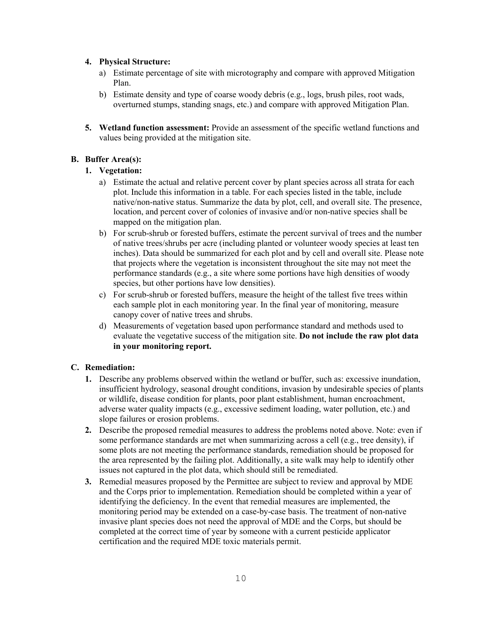# **4. Physical Structure:**

- a) Estimate percentage of site with microtography and compare with approved Mitigation Plan.
- b) Estimate density and type of coarse woody debris (e.g., logs, brush piles, root wads, overturned stumps, standing snags, etc.) and compare with approved Mitigation Plan.
- **5. Wetland function assessment:** Provide an assessment of the specific wetland functions and values being provided at the mitigation site.

# **B. Buffer Area(s):**

# **1. Vegetation:**

- a) Estimate the actual and relative percent cover by plant species across all strata for each plot. Include this information in a table. For each species listed in the table, include native/non-native status. Summarize the data by plot, cell, and overall site. The presence, location, and percent cover of colonies of invasive and/or non-native species shall be mapped on the mitigation plan.
- b) For scrub-shrub or forested buffers, estimate the percent survival of trees and the number of native trees/shrubs per acre (including planted or volunteer woody species at least ten inches). Data should be summarized for each plot and by cell and overall site. Please note that projects where the vegetation is inconsistent throughout the site may not meet the performance standards (e.g., a site where some portions have high densities of woody species, but other portions have low densities).
- c) For scrub-shrub or forested buffers, measure the height of the tallest five trees within each sample plot in each monitoring year. In the final year of monitoring, measure canopy cover of native trees and shrubs.
- d) Measurements of vegetation based upon performance standard and methods used to evaluate the vegetative success of the mitigation site. **Do not include the raw plot data in your monitoring report.**

# **C. Remediation:**

- **1.** Describe any problems observed within the wetland or buffer, such as: excessive inundation, insufficient hydrology, seasonal drought conditions, invasion by undesirable species of plants or wildlife, disease condition for plants, poor plant establishment, human encroachment, adverse water quality impacts (e.g., excessive sediment loading, water pollution, etc.) and slope failures or erosion problems.
- **2.** Describe the proposed remedial measures to address the problems noted above. Note: even if some performance standards are met when summarizing across a cell (e.g., tree density), if some plots are not meeting the performance standards, remediation should be proposed for the area represented by the failing plot. Additionally, a site walk may help to identify other issues not captured in the plot data, which should still be remediated.
- **3.** Remedial measures proposed by the Permittee are subject to review and approval by MDE and the Corps prior to implementation. Remediation should be completed within a year of identifying the deficiency. In the event that remedial measures are implemented, the monitoring period may be extended on a case-by-case basis. The treatment of non-native invasive plant species does not need the approval of MDE and the Corps, but should be completed at the correct time of year by someone with a current pesticide applicator certification and the required MDE toxic materials permit.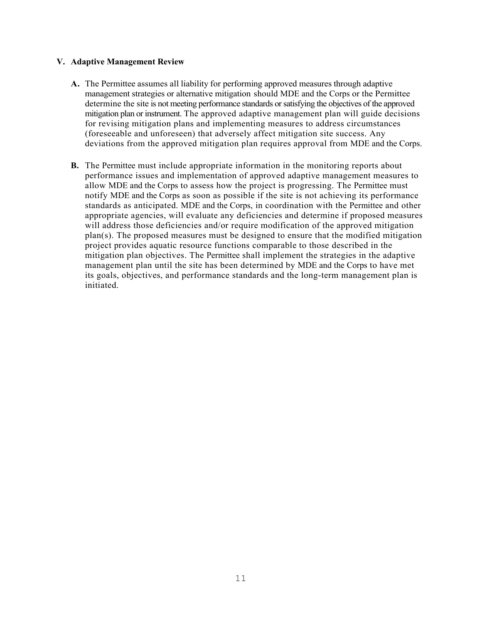## **V. Adaptive Management Review**

- **A.** The Permittee assumes all liability for performing approved measures through adaptive management strategies or alternative mitigation should MDE and the Corps or the Permittee determine the site is not meeting performance standards or satisfying the objectives of the approved mitigation plan or instrument. The approved adaptive management plan will guide decisions for revising mitigation plans and implementing measures to address circumstances (foreseeable and unforeseen) that adversely affect mitigation site success. Any deviations from the approved mitigation plan requires approval from MDE and the Corps.
- **B.** The Permittee must include appropriate information in the monitoring reports about performance issues and implementation of approved adaptive management measures to allow MDE and the Corps to assess how the project is progressing. The Permittee must notify MDE and the Corps as soon as possible if the site is not achieving its performance standards as anticipated. MDE and the Corps, in coordination with the Permittee and other appropriate agencies, will evaluate any deficiencies and determine if proposed measures will address those deficiencies and/or require modification of the approved mitigation plan(s). The proposed measures must be designed to ensure that the modified mitigation project provides aquatic resource functions comparable to those described in the mitigation plan objectives. The Permittee shall implement the strategies in the adaptive management plan until the site has been determined by MDE and the Corps to have met its goals, objectives, and performance standards and the long-term management plan is initiated.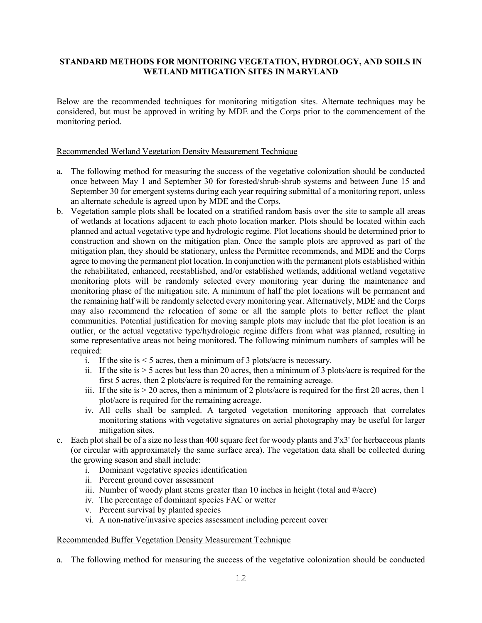# **STANDARD METHODS FOR MONITORING VEGETATION, HYDROLOGY, AND SOILS IN WETLAND MITIGATION SITES IN MARYLAND**

Below are the recommended techniques for monitoring mitigation sites. Alternate techniques may be considered, but must be approved in writing by MDE and the Corps prior to the commencement of the monitoring period.

## Recommended Wetland Vegetation Density Measurement Technique

- a. The following method for measuring the success of the vegetative colonization should be conducted once between May 1 and September 30 for forested/shrub-shrub systems and between June 15 and September 30 for emergent systems during each year requiring submittal of a monitoring report, unless an alternate schedule is agreed upon by MDE and the Corps.
- b. Vegetation sample plots shall be located on a stratified random basis over the site to sample all areas of wetlands at locations adjacent to each photo location marker. Plots should be located within each planned and actual vegetative type and hydrologic regime. Plot locations should be determined prior to construction and shown on the mitigation plan. Once the sample plots are approved as part of the mitigation plan, they should be stationary, unless the Permittee recommends, and MDE and the Corps agree to moving the permanent plot location. In conjunction with the permanent plots established within the rehabilitated, enhanced, reestablished, and/or established wetlands, additional wetland vegetative monitoring plots will be randomly selected every monitoring year during the maintenance and monitoring phase of the mitigation site. A minimum of half the plot locations will be permanent and the remaining half will be randomly selected every monitoring year. Alternatively, MDE and the Corps may also recommend the relocation of some or all the sample plots to better reflect the plant communities. Potential justification for moving sample plots may include that the plot location is an outlier, or the actual vegetative type/hydrologic regime differs from what was planned, resulting in some representative areas not being monitored. The following minimum numbers of samples will be required:
	- i. If the site is  $\leq$  5 acres, then a minimum of 3 plots/acre is necessary.
	- ii. If the site is  $>$  5 acres but less than 20 acres, then a minimum of 3 plots/acre is required for the first 5 acres, then 2 plots/acre is required for the remaining acreage.
	- iii. If the site is  $> 20$  acres, then a minimum of 2 plots/acre is required for the first 20 acres, then 1 plot/acre is required for the remaining acreage.
	- iv. All cells shall be sampled. A targeted vegetation monitoring approach that correlates monitoring stations with vegetative signatures on aerial photography may be useful for larger mitigation sites.
- c. Each plot shall be of a size no less than 400 square feet for woody plants and 3'x3' for herbaceous plants (or circular with approximately the same surface area). The vegetation data shall be collected during the growing season and shall include:
	- i. Dominant vegetative species identification
	- ii. Percent ground cover assessment
	- iii. Number of woody plant stems greater than 10 inches in height (total and #/acre)
	- iv. The percentage of dominant species FAC or wetter
	- v. Percent survival by planted species
	- vi. A non-native/invasive species assessment including percent cover

#### Recommended Buffer Vegetation Density Measurement Technique

a. The following method for measuring the success of the vegetative colonization should be conducted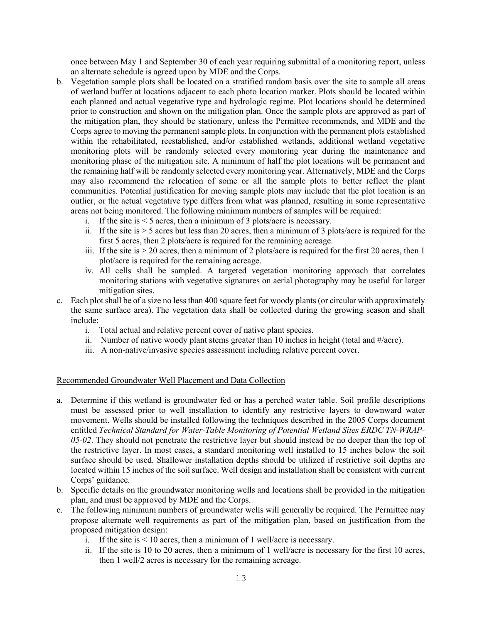once between May 1 and September 30 of each year requiring submittal of a monitoring report, unless an alternate schedule is agreed upon by MDE and the Corps.

- b. Vegetation sample plots shall be located on a stratified random basis over the site to sample all areas of wetland buffer at locations adjacent to each photo location marker. Plots should be located within each planned and actual vegetative type and hydrologic regime. Plot locations should be determined prior to construction and shown on the mitigation plan. Once the sample plots are approved as part of the mitigation plan, they should be stationary, unless the Permittee recommends, and MDE and the Corps agree to moving the permanent sample plots. In conjunction with the permanent plots established within the rehabilitated, reestablished, and/or established wetlands, additional wetland vegetative monitoring plots will be randomly selected every monitoring year during the maintenance and monitoring phase of the mitigation site. A minimum of half the plot locations will be permanent and the remaining half will be randomly selected every monitoring year. Alternatively, MDE and the Corps may also recommend the relocation of some or all the sample plots to better reflect the plant communities. Potential justification for moving sample plots may include that the plot location is an outlier, or the actual vegetative type differs from what was planned, resulting in some representative areas not being monitored. The following minimum numbers of samples will be required:
	- i. If the site is  $\leq$  5 acres, then a minimum of 3 plots/acre is necessary.
	- ii. If the site is  $> 5$  acres but less than 20 acres, then a minimum of 3 plots/acre is required for the first 5 acres, then 2 plots/acre is required for the remaining acreage.
	- iii. If the site is  $> 20$  acres, then a minimum of 2 plots/acre is required for the first 20 acres, then 1 plot/acre is required for the remaining acreage.
	- iv. All cells shall be sampled. A targeted vegetation monitoring approach that correlates monitoring stations with vegetative signatures on aerial photography may be useful for larger mitigation sites.
- c. Each plot shall be of a size no less than 400 square feet for woody plants (or circular with approximately the same surface area). The vegetation data shall be collected during the growing season and shall include:
	- i. Total actual and relative percent cover of native plant species.
	- ii. Number of native woody plant stems greater than 10 inches in height (total and #/acre).
	- iii. A non-native/invasive species assessment including relative percent cover.

# Recommended Groundwater Well Placement and Data Collection

- a. Determine if this wetland is groundwater fed or has a perched water table. Soil profile descriptions must be assessed prior to well installation to identify any restrictive layers to downward water movement. Wells should be installed following the techniques described in the 2005 Corps document entitled *Technical Standard for Water-Table Monitoring of Potential Wetland Sites ERDC TN-WRAP-05-02*. They should not penetrate the restrictive layer but should instead be no deeper than the top of the restrictive layer. In most cases, a standard monitoring well installed to 15 inches below the soil surface should be used. Shallower installation depths should be utilized if restrictive soil depths are located within 15 inches of the soil surface. Well design and installation shall be consistent with current Corps' guidance.
- b. Specific details on the groundwater monitoring wells and locations shall be provided in the mitigation plan, and must be approved by MDE and the Corps.
- c. The following minimum numbers of groundwater wells will generally be required. The Permittee may propose alternate well requirements as part of the mitigation plan, based on justification from the proposed mitigation design:
	- i. If the site is  $\leq 10$  acres, then a minimum of 1 well/acre is necessary.
	- ii. If the site is 10 to 20 acres, then a minimum of 1 well/acre is necessary for the first 10 acres, then 1 well/2 acres is necessary for the remaining acreage.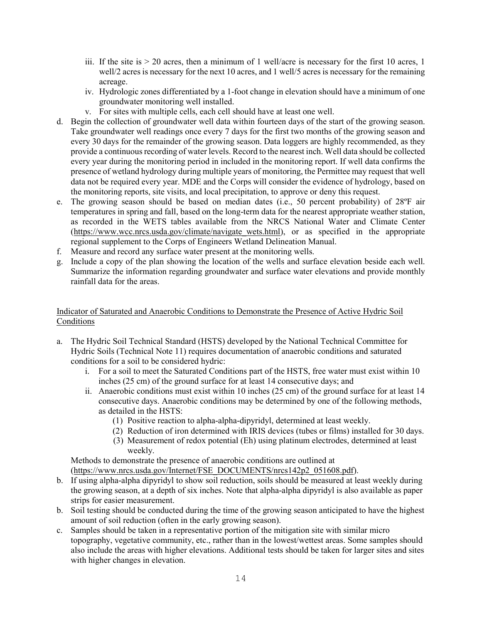- iii. If the site is  $> 20$  acres, then a minimum of 1 well/acre is necessary for the first 10 acres, 1 well/2 acres is necessary for the next 10 acres, and 1 well/5 acres is necessary for the remaining acreage.
- iv. Hydrologic zones differentiated by a 1-foot change in elevation should have a minimum of one groundwater monitoring well installed.
- v. For sites with multiple cells, each cell should have at least one well.
- d. Begin the collection of groundwater well data within fourteen days of the start of the growing season. Take groundwater well readings once every 7 days for the first two months of the growing season and every 30 days for the remainder of the growing season. Data loggers are highly recommended, as they provide a continuous recording of water levels. Record to the nearest inch. Well data should be collected every year during the monitoring period in included in the monitoring report. If well data confirms the presence of wetland hydrology during multiple years of monitoring, the Permittee may request that well data not be required every year. MDE and the Corps will consider the evidence of hydrology, based on the monitoring reports, site visits, and local precipitation, to approve or deny this request.
- e. The growing season should be based on median dates (i.e., 50 percent probability) of 28ºF air temperatures in spring and fall, based on the long-term data for the nearest appropriate weather station, as recorded in the WETS tables available from the NRCS National Water and Climate Center (https://www.wcc.nrcs.usda.gov/climate/navigate wets.html), or as specified in the appropriate regional supplement to the Corps of Engineers Wetland Delineation Manual.
- f. Measure and record any surface water present at the monitoring wells.
- g. Include a copy of the plan showing the location of the wells and surface elevation beside each well. Summarize the information regarding groundwater and surface water elevations and provide monthly rainfall data for the areas.

# Indicator of Saturated and Anaerobic Conditions to Demonstrate the Presence of Active Hydric Soil Conditions

- a. The Hydric Soil Technical Standard (HSTS) developed by the National Technical Committee for Hydric Soils (Technical Note 11) requires documentation of anaerobic conditions and saturated conditions for a soil to be considered hydric:
	- i. For a soil to meet the Saturated Conditions part of the HSTS, free water must exist within 10 inches (25 cm) of the ground surface for at least 14 consecutive days; and
	- ii. Anaerobic conditions must exist within 10 inches (25 cm) of the ground surface for at least 14 consecutive days. Anaerobic conditions may be determined by one of the following methods, as detailed in the HSTS:
		- (1) Positive reaction to alpha-alpha-dipyridyl, determined at least weekly.
		- (2) Reduction of iron determined with IRIS devices (tubes or films) installed for 30 days.
		- (3) Measurement of redox potential (Eh) using platinum electrodes, determined at least weekly.

Methods to demonstrate the presence of anaerobic conditions are outlined at [\(https://www.nrcs.usda.gov/Internet/FSE\\_DOCUMENTS/nrcs142p2\\_051608.pdf\)](https://www.nrcs.usda.gov/Internet/FSE_DOCUMENTS/nrcs142p2_051608.pdf).

- b. If using alpha-alpha dipyridyl to show soil reduction, soils should be measured at least weekly during the growing season, at a depth of six inches. Note that alpha-alpha dipyridyl is also available as paper strips for easier measurement.
- b. Soil testing should be conducted during the time of the growing season anticipated to have the highest amount of soil reduction (often in the early growing season).
- c. Samples should be taken in a representative portion of the mitigation site with similar micro topography, vegetative community, etc., rather than in the lowest/wettest areas. Some samples should also include the areas with higher elevations. Additional tests should be taken for larger sites and sites with higher changes in elevation.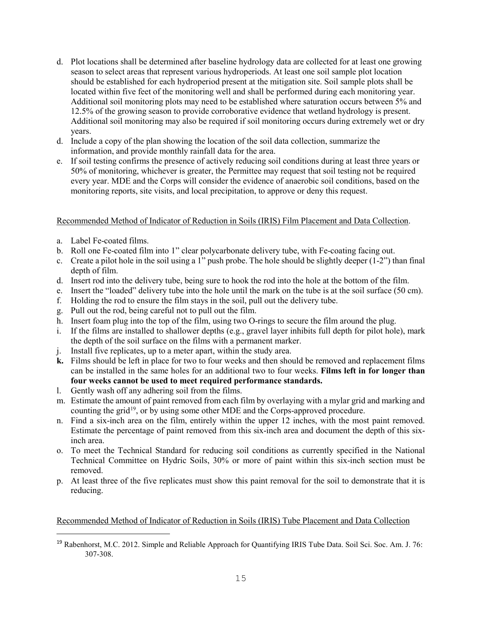- d. Plot locations shall be determined after baseline hydrology data are collected for at least one growing season to select areas that represent various hydroperiods. At least one soil sample plot location should be established for each hydroperiod present at the mitigation site. Soil sample plots shall be located within five feet of the monitoring well and shall be performed during each monitoring year. Additional soil monitoring plots may need to be established where saturation occurs between 5% and 12.5% of the growing season to provide corroborative evidence that wetland hydrology is present. Additional soil monitoring may also be required if soil monitoring occurs during extremely wet or dry years.
- d. Include a copy of the plan showing the location of the soil data collection, summarize the information, and provide monthly rainfall data for the area.
- e. If soil testing confirms the presence of actively reducing soil conditions during at least three years or 50% of monitoring, whichever is greater, the Permittee may request that soil testing not be required every year. MDE and the Corps will consider the evidence of anaerobic soil conditions, based on the monitoring reports, site visits, and local precipitation, to approve or deny this request.

# Recommended Method of Indicator of Reduction in Soils (IRIS) Film Placement and Data Collection.

- a. Label Fe-coated films.
- b. Roll one Fe-coated film into 1" clear polycarbonate delivery tube, with Fe-coating facing out.
- c. Create a pilot hole in the soil using a 1" push probe. The hole should be slightly deeper  $(1-2)$ " than final depth of film.
- d. Insert rod into the delivery tube, being sure to hook the rod into the hole at the bottom of the film.
- e. Insert the "loaded" delivery tube into the hole until the mark on the tube is at the soil surface (50 cm).
- f. Holding the rod to ensure the film stays in the soil, pull out the delivery tube.
- g. Pull out the rod, being careful not to pull out the film.
- h. Insert foam plug into the top of the film, using two O-rings to secure the film around the plug.
- i. If the films are installed to shallower depths (e.g., gravel layer inhibits full depth for pilot hole), mark the depth of the soil surface on the films with a permanent marker.
- j. Install five replicates, up to a meter apart, within the study area.
- **k.** Films should be left in place for two to four weeks and then should be removed and replacement films can be installed in the same holes for an additional two to four weeks. **Films left in for longer than four weeks cannot be used to meet required performance standards.**
- l. Gently wash off any adhering soil from the films.
- m. Estimate the amount of paint removed from each film by overlaying with a mylar grid and marking and counting the grid<sup>19</sup>, or by using some other MDE and the Corps-approved procedure.
- n. Find a six-inch area on the film, entirely within the upper 12 inches, with the most paint removed. Estimate the percentage of paint removed from this six-inch area and document the depth of this sixinch area.
- o. To meet the Technical Standard for reducing soil conditions as currently specified in the National Technical Committee on Hydric Soils, 30% or more of paint within this six-inch section must be removed.
- p. At least three of the five replicates must show this paint removal for the soil to demonstrate that it is reducing.

# Recommended Method of Indicator of Reduction in Soils (IRIS) Tube Placement and Data Collection

<span id="page-14-0"></span>Ξ <sup>19</sup> Rabenhorst, M.C. 2012. Simple and Reliable Approach for Quantifying IRIS Tube Data. Soil Sci. Soc. Am. J. 76: 307-308.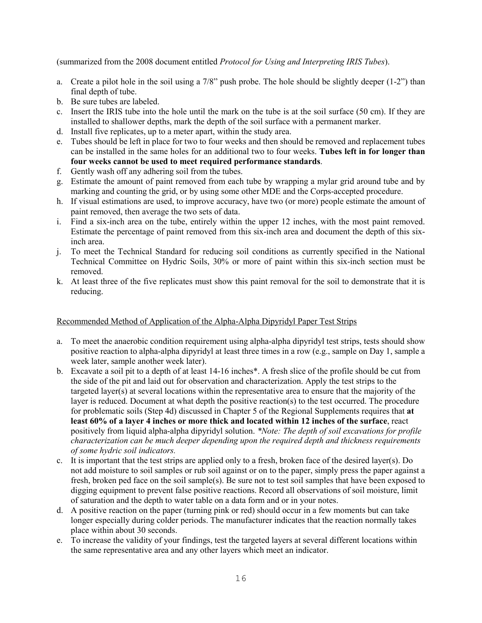(summarized from the 2008 document entitled *Protocol for Using and Interpreting IRIS Tubes*).

- a. Create a pilot hole in the soil using a 7/8" push probe. The hole should be slightly deeper  $(1-2)$ " than final depth of tube.
- b. Be sure tubes are labeled.
- c. Insert the IRIS tube into the hole until the mark on the tube is at the soil surface (50 cm). If they are installed to shallower depths, mark the depth of the soil surface with a permanent marker.
- d. Install five replicates, up to a meter apart, within the study area.
- e. Tubes should be left in place for two to four weeks and then should be removed and replacement tubes can be installed in the same holes for an additional two to four weeks. **Tubes left in for longer than four weeks cannot be used to meet required performance standards**.
- f. Gently wash off any adhering soil from the tubes.
- g. Estimate the amount of paint removed from each tube by wrapping a mylar grid around tube and by marking and counting the grid, or by using some other MDE and the Corps-accepted procedure.
- h. If visual estimations are used, to improve accuracy, have two (or more) people estimate the amount of paint removed, then average the two sets of data.
- i. Find a six-inch area on the tube, entirely within the upper 12 inches, with the most paint removed. Estimate the percentage of paint removed from this six-inch area and document the depth of this sixinch area.
- j. To meet the Technical Standard for reducing soil conditions as currently specified in the National Technical Committee on Hydric Soils, 30% or more of paint within this six-inch section must be removed.
- k. At least three of the five replicates must show this paint removal for the soil to demonstrate that it is reducing.

# Recommended Method of Application of the Alpha-Alpha Dipyridyl Paper Test Strips

- a. To meet the anaerobic condition requirement using alpha-alpha dipyridyl test strips, tests should show positive reaction to alpha-alpha dipyridyl at least three times in a row (e.g., sample on Day 1, sample a week later, sample another week later).
- b. Excavate a soil pit to a depth of at least 14-16 inches\*. A fresh slice of the profile should be cut from the side of the pit and laid out for observation and characterization. Apply the test strips to the targeted layer(s) at several locations within the representative area to ensure that the majority of the layer is reduced. Document at what depth the positive reaction(s) to the test occurred. The procedure for problematic soils (Step 4d) discussed in Chapter 5 of the Regional Supplements requires that **at least 60% of a layer 4 inches or more thick and located within 12 inches of the surface**, react positively from liquid alpha-alpha dipyridyl solution. *\*Note: The depth of soil excavations for profile characterization can be much deeper depending upon the required depth and thickness requirements of some hydric soil indicators.*
- c. It is important that the test strips are applied only to a fresh, broken face of the desired layer(s). Do not add moisture to soil samples or rub soil against or on to the paper, simply press the paper against a fresh, broken ped face on the soil sample(s). Be sure not to test soil samples that have been exposed to digging equipment to prevent false positive reactions. Record all observations of soil moisture, limit of saturation and the depth to water table on a data form and or in your notes.
- d. A positive reaction on the paper (turning pink or red) should occur in a few moments but can take longer especially during colder periods. The manufacturer indicates that the reaction normally takes place within about 30 seconds.
- e. To increase the validity of your findings, test the targeted layers at several different locations within the same representative area and any other layers which meet an indicator.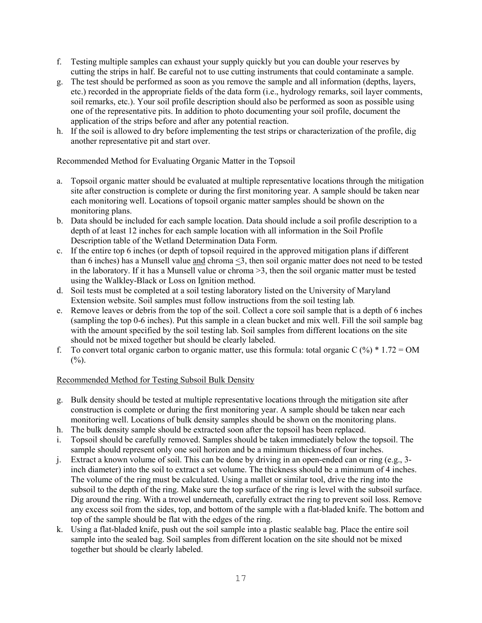- f. Testing multiple samples can exhaust your supply quickly but you can double your reserves by cutting the strips in half. Be careful not to use cutting instruments that could contaminate a sample.
- g. The test should be performed as soon as you remove the sample and all information (depths, layers, etc.) recorded in the appropriate fields of the data form (i.e., hydrology remarks, soil layer comments, soil remarks, etc.). Your soil profile description should also be performed as soon as possible using one of the representative pits. In addition to photo documenting your soil profile, document the application of the strips before and after any potential reaction.
- h. If the soil is allowed to dry before implementing the test strips or characterization of the profile, dig another representative pit and start over.

Recommended Method for Evaluating Organic Matter in the Topsoil

- a. Topsoil organic matter should be evaluated at multiple representative locations through the mitigation site after construction is complete or during the first monitoring year. A sample should be taken near each monitoring well. Locations of topsoil organic matter samples should be shown on the monitoring plans.
- b. Data should be included for each sample location. Data should include a soil profile description to a depth of at least 12 inches for each sample location with all information in the Soil Profile Description table of the Wetland Determination Data Form.
- c. If the entire top 6 inches (or depth of topsoil required in the approved mitigation plans if different than 6 inches) has a Munsell value and chroma <3, then soil organic matter does not need to be tested in the laboratory. If it has a Munsell value or chroma >3, then the soil organic matter must be tested using the Walkley-Black or Loss on Ignition method.
- d. Soil tests must be completed at a soil testing laboratory listed on the University of Maryland Extension website. Soil samples must follow instructions from the soil testing lab*.*
- e. Remove leaves or debris from the top of the soil. Collect a core soil sample that is a depth of 6 inches (sampling the top 0-6 inches). Put this sample in a clean bucket and mix well. Fill the soil sample bag with the amount specified by the soil testing lab. Soil samples from different locations on the site should not be mixed together but should be clearly labeled.
- f. To convert total organic carbon to organic matter, use this formula: total organic C  $(\%)$  \* 1.72 = OM  $(%).$

# Recommended Method for Testing Subsoil Bulk Density

- g. Bulk density should be tested at multiple representative locations through the mitigation site after construction is complete or during the first monitoring year. A sample should be taken near each monitoring well. Locations of bulk density samples should be shown on the monitoring plans.
- h. The bulk density sample should be extracted soon after the topsoil has been replaced.
- i. Topsoil should be carefully removed. Samples should be taken immediately below the topsoil. The sample should represent only one soil horizon and be a minimum thickness of four inches.
- j. Extract a known volume of soil. This can be done by driving in an open-ended can or ring (e.g., 3 inch diameter) into the soil to extract a set volume. The thickness should be a minimum of 4 inches. The volume of the ring must be calculated. Using a mallet or similar tool, drive the ring into the subsoil to the depth of the ring. Make sure the top surface of the ring is level with the subsoil surface. Dig around the ring. With a trowel underneath, carefully extract the ring to prevent soil loss. Remove any excess soil from the sides, top, and bottom of the sample with a flat-bladed knife. The bottom and top of the sample should be flat with the edges of the ring.
- k. Using a flat-bladed knife, push out the soil sample into a plastic sealable bag. Place the entire soil sample into the sealed bag. Soil samples from different location on the site should not be mixed together but should be clearly labeled.